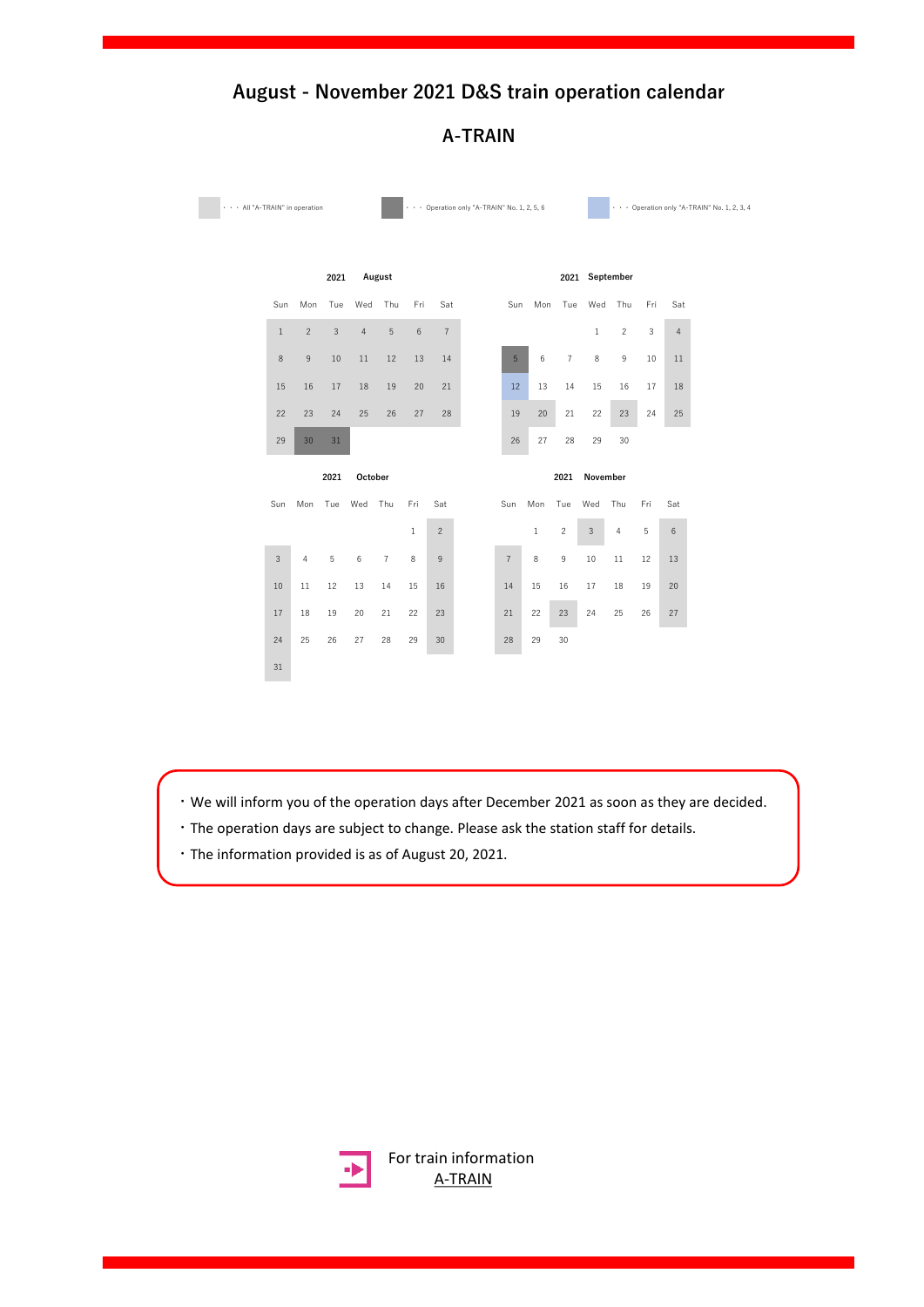

**A-TRAIN**

・We will inform you of the operation days after December 2021 as soon as they are decided.

- ・The operation days are subject to change. Please ask the station staff for details.
- ・The information provided is as of August 20, 2021.



[For train information](https://www.jrkyushu.co.jp/english/train/atrain.html) A-TRAIN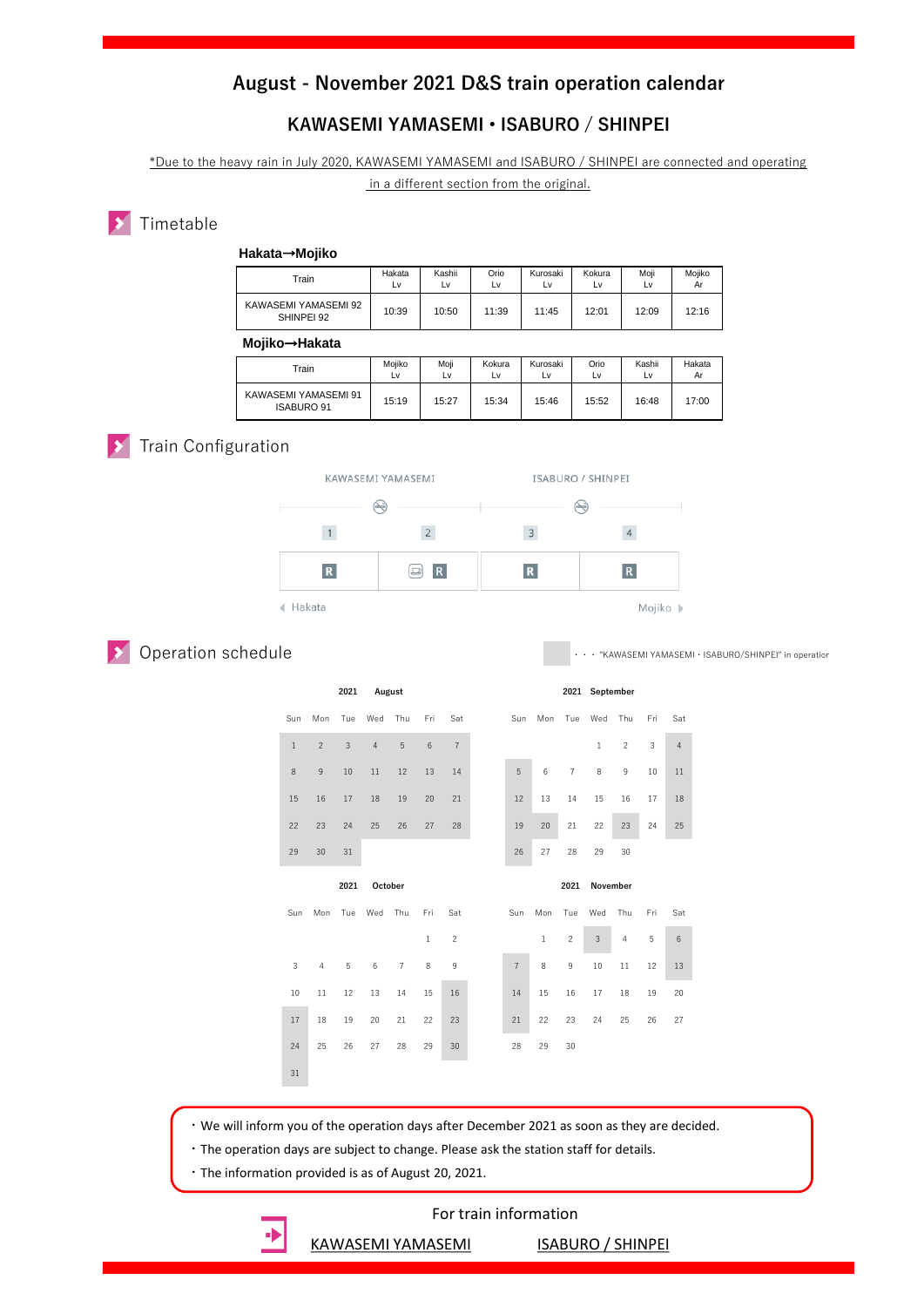#### **KAWASEMI YAMASEMI • ISABURO / SHINPEI**

\*Due to the heavy rain in July 2020, KAWASEMI YAMASEMI and ISABURO / SHINPEI are connected and operating

in a different section from the original.

#### Timetable

#### **Hakata**→**Mojiko**

| $\tau$ rain                        | Hakata<br>L٧ | Kashii<br>L٧ | Orio<br>Lv | Kurosaki<br>Lv | Kokura<br>Lv | Moji<br>LV | Mojiko<br>Ar |
|------------------------------------|--------------|--------------|------------|----------------|--------------|------------|--------------|
| KAWASEMI YAMASEMI 92<br>SHINPEI 92 | 10:39        | 10:50        | 11:39      | 11:45          | 12:01        | 12:09      | 12:16        |
|                                    |              |              |            |                |              |            |              |

 **Mojiko**→**Hakata**

| <br>.                                     |              |            |              |                |            |              |              |
|-------------------------------------------|--------------|------------|--------------|----------------|------------|--------------|--------------|
| Train                                     | Moiiko<br>L٧ | Moji<br>Lv | Kokura<br>LV | Kurosaki<br>L٧ | Orio<br>Lv | Kashii<br>Lv | Hakata<br>Ar |
| KAWASEMI YAMASEMI 91<br><b>ISABURO 91</b> | 15:19        | 15:27      | 15:34        | 15:46          | 15:52      | 16:48        | 17:00        |

### **X** Train Configuration

**S** Operation schedule



・・・ "KAWASEMI YAMASEMI・ISABURO/SHINPEI" in operation

|              | 2021<br>August  |                |                |                |              |                |                |                 |                | 2021 September |                |     |                |
|--------------|-----------------|----------------|----------------|----------------|--------------|----------------|----------------|-----------------|----------------|----------------|----------------|-----|----------------|
| Sun          | Mon             | Tue            | Wed            | Thu            | Fri          | Sat            | Sun            | Mon             | Tue            | Wed            | Thu            | Fri | Sat            |
| $\mathbf{1}$ | $\overline{c}$  | $\overline{3}$ | $\overline{4}$ | 5              | 6            | $\overline{7}$ |                |                 |                | $\mathbf{1}$   | $\overline{c}$ | 3   | $\overline{4}$ |
| 8            | $\mathsf g$     | 10             | 11             | 12             | 13           | 14             | $\sqrt{5}$     | $6\phantom{1}6$ | $\overline{7}$ | 8              | 9              | 10  | 11             |
| 15           | 16              | 17             | 18             | 19             | 20           | 21             | 12             | 13              | 14             | 15             | 16             | 17  | 18             |
| 22           | 23              | 24             | 25             | 26             | 27           | 28             | 19             | 20              | 21             | 22             | 23             | 24  | 25             |
| 29           | 30              | 31             |                |                |              |                | 26             | 27              | 28             | 29             | 30             |     |                |
|              | 2021<br>October |                |                |                |              |                |                |                 | 2021           | November       |                |     |                |
|              |                 |                |                |                |              |                |                |                 |                |                |                |     |                |
| Sun          | Mon             | Tue            | Wed            | Thu            | Fri          | Sat            | Sun            | Mon             | Tue            | Wed            | Thu            | Fri | Sat            |
|              |                 |                |                |                | $\mathbf{1}$ | $\overline{c}$ |                | $\,1\,$         | $\overline{c}$ | $\sqrt{3}$     | $\overline{4}$ | 5   | $\,6\,$        |
| 3            | $\overline{4}$  | 5              | 6              | $\overline{7}$ | $\,$ 8 $\,$  | 9              | $\overline{7}$ | $\,$ 8 $\,$     | 9              | 10             | 11             | 12  | 13             |
| 10           | 11              | 12             | 13             | 14             | 15           | 16             | 14             | 15              | 16             | 17             | 18             | 19  | 20             |
| 17           | 18              | 19             | 20             | 21             | 22           | 23             | 21             | 22              | 23             | 24             | 25             | 26  | 27             |
| 24           | 25              | 26             | 27             | 28             | 29           | 30             | 28             | 29              | 30             |                |                |     |                |
| 31           |                 |                |                |                |              |                |                |                 |                |                |                |     |                |

・We will inform you of the operation days after December 2021 as soon as they are decided.

・The operation days are subject to change. Please ask the station staff for details.

・The information provided is as of August 20, 2021.

#### For train information

[KAWASEMI YAMASEMI](https://www.jrkyushu.co.jp/english/train/kawasemi_yamasemi.html) [ISABURO / SHINPEI](https://www.jrkyushu.co.jp/english/train/isashin.html)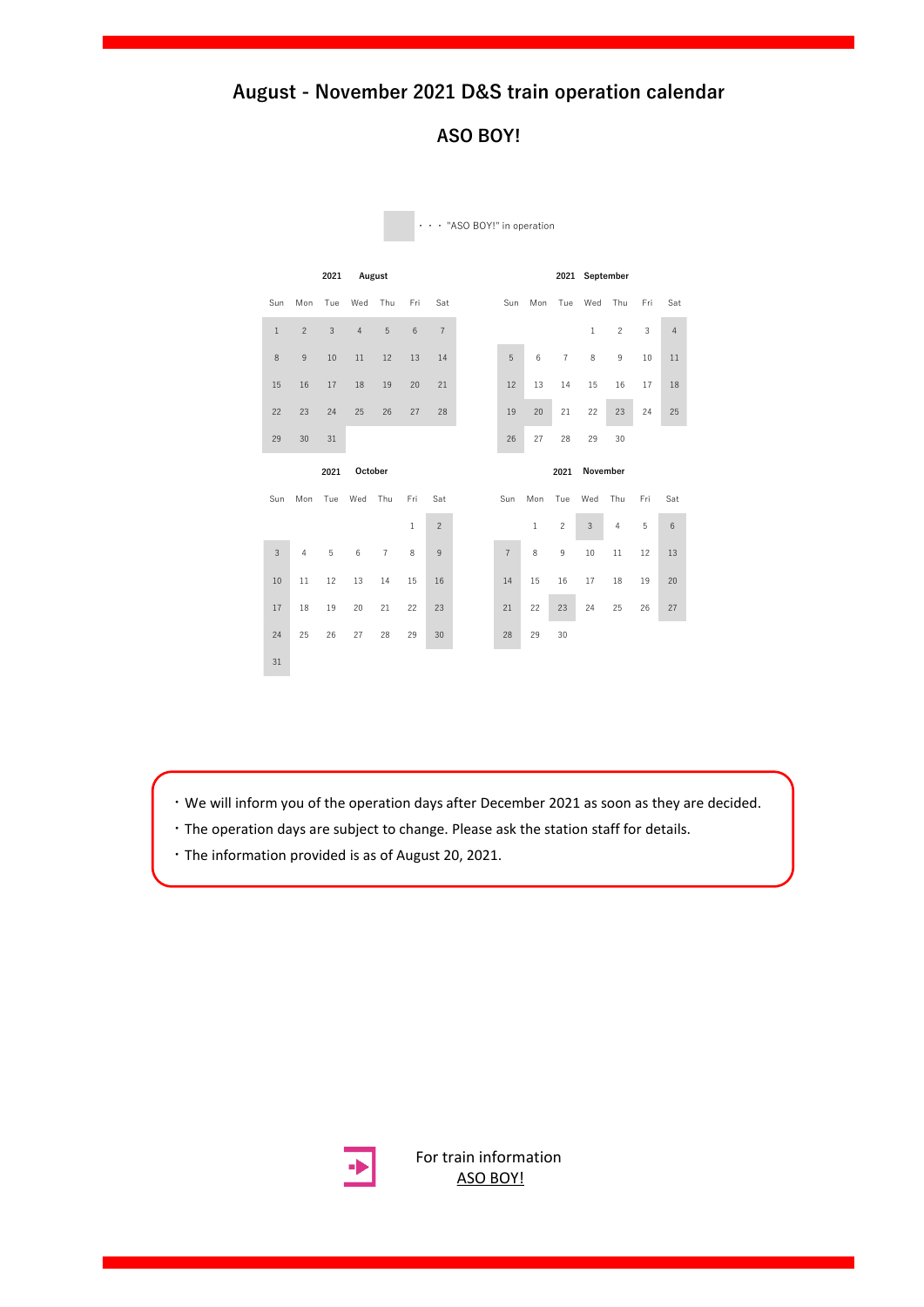#### **ASO BOY!**



・・・ "ASO BOY!" in operation

・We will inform you of the operation days after December 2021 as soon as they are decided.

- ・The operation days are subject to change. Please ask the station staff for details.
- ・The information provided is as of August 20, 2021.



For train [information](https://www.jrkyushu.co.jp/english/train/asoboy.html) ASO BOY!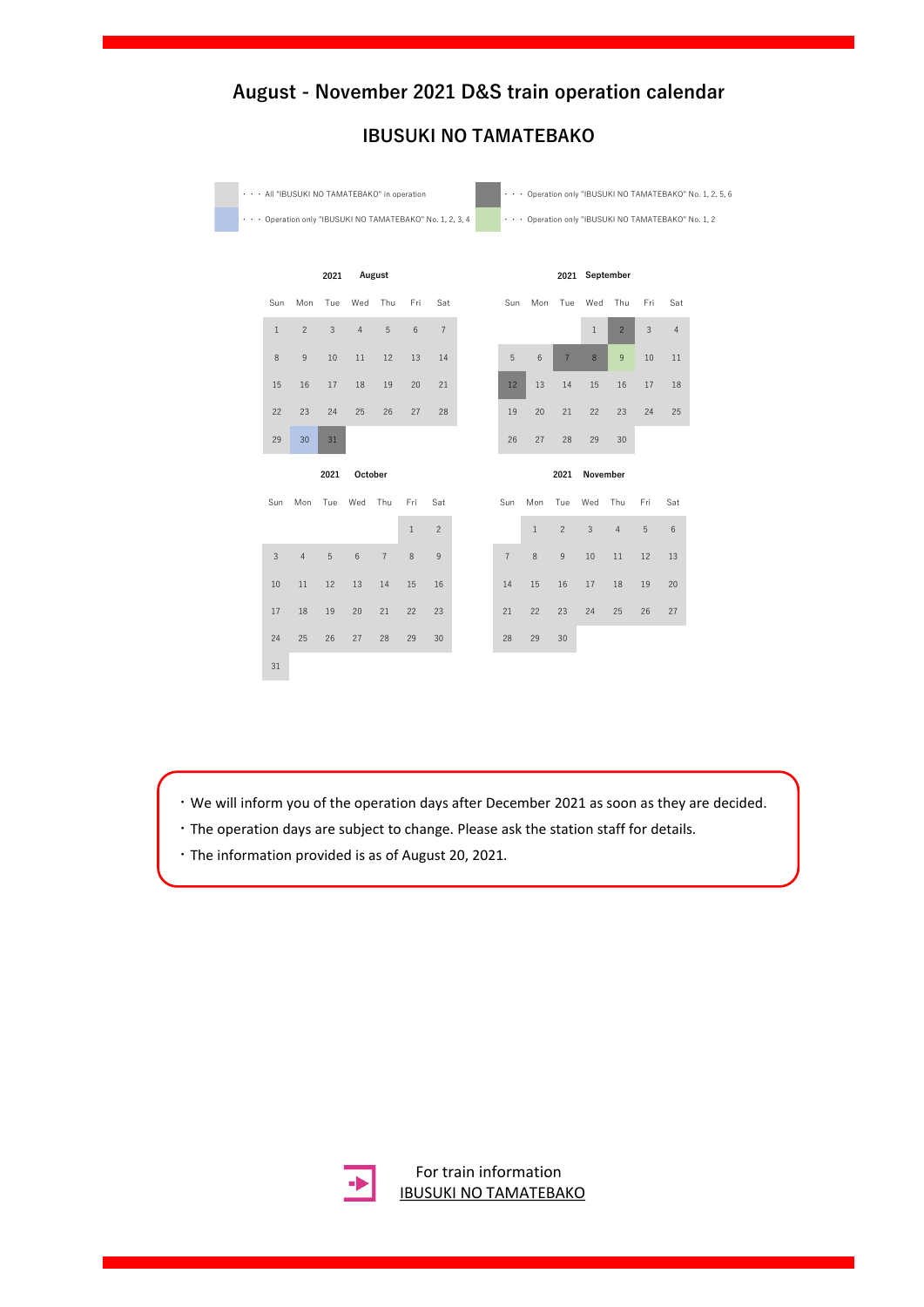

## **IBUSUKI NO TAMATEBAKO**

・We will inform you of the operation days after December 2021 as soon as they are decided.

- ・The operation days are subject to change. Please ask the station staff for details.
- ・The information provided is as of August 20, 2021.



For train information [IBUSUKI NO TAMATEBAKO](https://www.jrkyushu.co.jp/english/train/ibutama.html)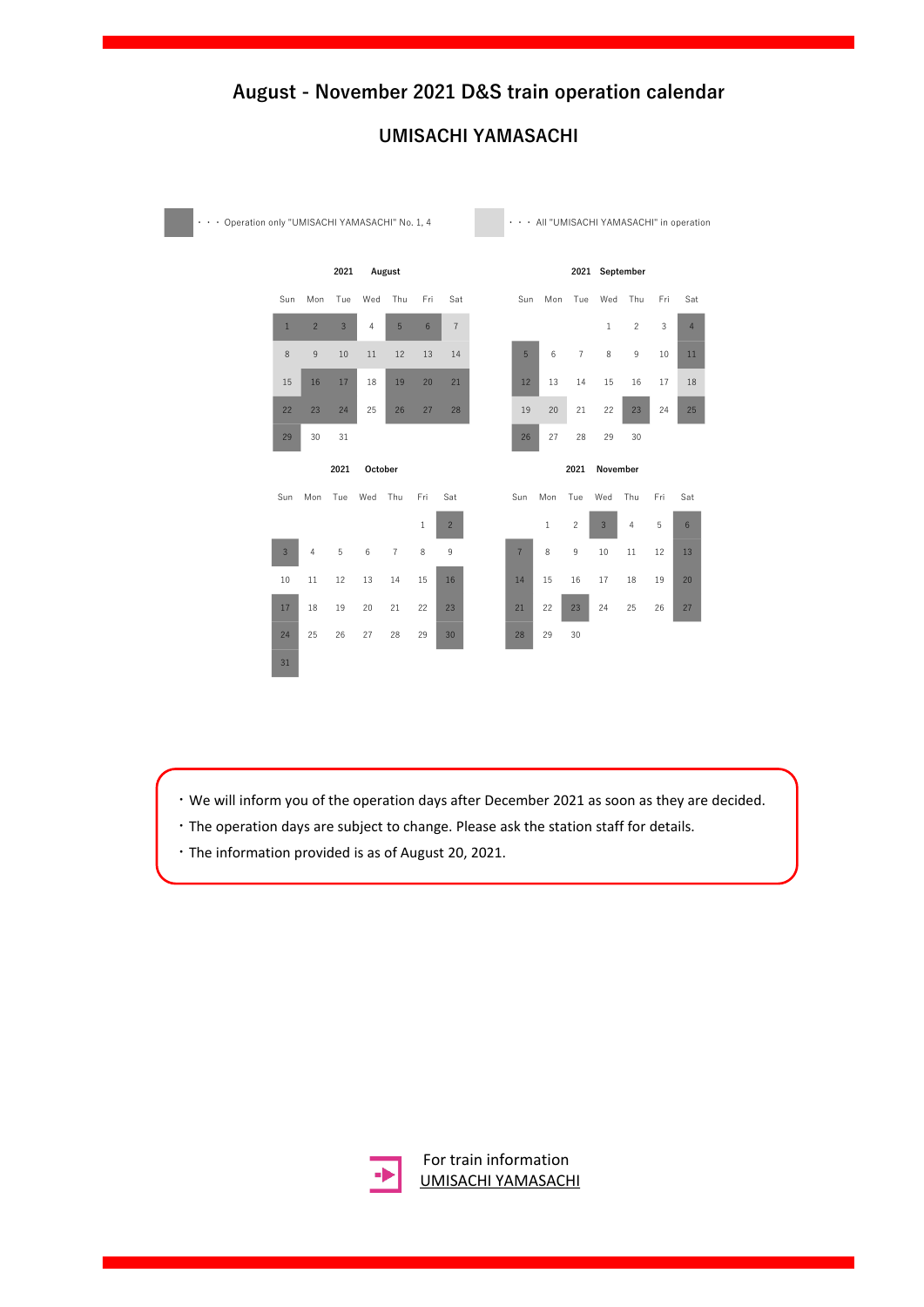### **UMISACHI YAMASACHI**

| Operation only "UMISACHI YAMASACHI" No. 1, 4<br>$\ddot{\phantom{0}}$ |                           |                |                |         |                |                |                |  |                |       |                |                |                |     | . All "UMISACHI YAMASACHI" in operation |  |
|----------------------------------------------------------------------|---------------------------|----------------|----------------|---------|----------------|----------------|----------------|--|----------------|-------|----------------|----------------|----------------|-----|-----------------------------------------|--|
|                                                                      |                           |                | 2021           |         | August         |                |                |  |                |       |                | 2021 September |                |     |                                         |  |
|                                                                      | Sun                       | Mon            | Tue            | Wed     | Thu            | Fri            | Sat            |  | Sun            | Mon   | Tue            | Wed            | Thu            | Fri | Sat                                     |  |
|                                                                      | $\mathbf{1}$              | $\overline{2}$ | $\overline{3}$ | 4       | 5              | $6\phantom{1}$ | $\overline{7}$ |  |                |       |                | $1\,$          | $\overline{c}$ | 3   | $\overline{4}$                          |  |
|                                                                      | $\,$ 8 $\,$               | $9\,$          | 10             | 11      | 12             | 13             | 14             |  | 5              | 6     | $\overline{7}$ | 8              | 9              | 10  | 11                                      |  |
|                                                                      | 15                        | 16             | 17             | 18      | 19             | 20             | 21             |  | 12             | 13    | 14             | 15             | 16             | 17  | 18                                      |  |
|                                                                      | 22                        | 23             | 24             | 25      | 26             | 27             | 28             |  | 19             | 20    | 21             | 22             | 23             | 24  | 25                                      |  |
|                                                                      | 29                        | 30             | 31             |         |                |                |                |  | 26             | 27    | 28             | 29             | 30             |     |                                         |  |
|                                                                      |                           |                | 2021           | October |                |                |                |  |                |       | 2021           | November       |                |     |                                         |  |
|                                                                      | Sun                       | Mon            | Tue            | Wed     | Thu            | Fri            | Sat            |  | Sun            | Mon   | Tue            | Wed            | Thu            | Fri | Sat                                     |  |
|                                                                      |                           |                |                |         |                | $\mathbf{1}$   | $\overline{c}$ |  |                | $1\,$ | $\overline{c}$ | 3              | 4              | 5   | $6\phantom{.}$                          |  |
|                                                                      | $\ensuremath{\mathsf{3}}$ | 4              | 5              | $\,6\,$ | $\overline{7}$ | 8              | 9              |  | $\overline{7}$ | 8     | 9              | 10             | 11             | 12  | 13                                      |  |
|                                                                      | 10                        | 11             | 12             | 13      | 14             | 15             | 16             |  | 14             | 15    | 16             | 17             | 18             | 19  | 20                                      |  |
|                                                                      | 17                        | 18             | 19             | 20      | 21             | 22             | 23             |  | 21             | 22    | 23             | 24             | 25             | 26  | 27                                      |  |
|                                                                      | 24                        | 25             | 26             | 27      | 28             | 29             | 30             |  | 28             | 29    | 30             |                |                |     |                                         |  |
|                                                                      | 31                        |                |                |         |                |                |                |  |                |       |                |                |                |     |                                         |  |

・We will inform you of the operation days after December 2021 as soon as they are decided.

- ・The operation days are subject to change. Please ask the station staff for details.
- ・The information provided is as of August 20, 2021.



For train information [UMISACHI YAMASACHI](https://www.jrkyushu.co.jp/english/train/umisachiyamasachi.html)